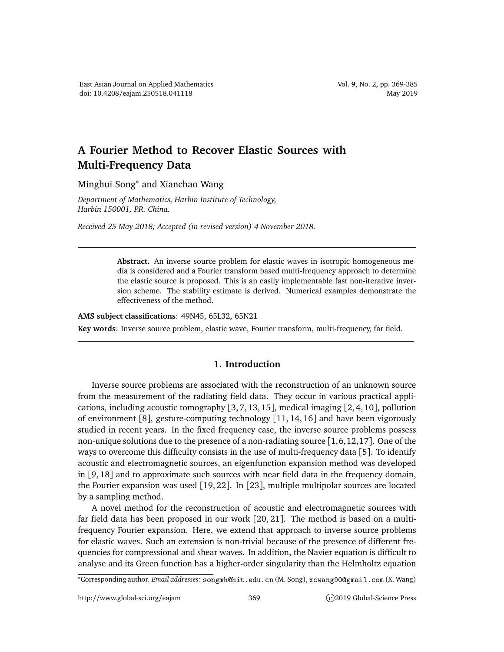## **A Fourier Method to Recover Elastic Sources with Multi-Frequency Data**

Minghui Song<sup>∗</sup> and Xianchao Wang

*Department of Mathematics, Harbin Institute of Technology, Harbin 150001, P.R. China.*

*Received 25 May 2018; Accepted (in revised version) 4 November 2018.*

**Abstract.** An inverse source problem for elastic waves in isotropic homogeneous media is considered and a Fourier transform based multi-frequency approach to determine the elastic source is proposed. This is an easily implementable fast non-iterative inversion scheme. The stability estimate is derived. Numerical examples demonstrate the effectiveness of the method.

**AMS subject classifications**: 49N45, 65L32, 65N21

**Key words**: Inverse source problem, elastic wave, Fourier transform, multi-frequency, far field.

## **1. Introduction**

Inverse source problems are associated with the reconstruction of an unknown source from the measurement of the radiating field data. They occur in various practical applications, including acoustic tomography [3, 7, 13, 15], medical imaging [2, 4, 10], pollution of environment [8], gesture-computing technology [11, 14, 16] and have been vigorously studied in recent years. In the fixed frequency case, the inverse source problems possess non-unique solutions due to the presence of a non-radiating source  $[1,6,12,17]$ . One of the ways to overcome this difficulty consists in the use of multi-frequency data [5]. To identify acoustic and electromagnetic sources, an eigenfunction expansion method was developed in [9, 18] and to approximate such sources with near field data in the frequency domain, the Fourier expansion was used [19, 22]. In [23], multiple multipolar sources are located by a sampling method.

A novel method for the reconstruction of acoustic and electromagnetic sources with far field data has been proposed in our work [20, 21]. The method is based on a multifrequency Fourier expansion. Here, we extend that approach to inverse source problems for elastic waves. Such an extension is non-trivial because of the presence of different frequencies for compressional and shear waves. In addition, the Navier equation is difficult to analyse and its Green function has a higher-order singularity than the Helmholtz equation

<sup>\*</sup>Corresponding author. *Email addresses*: songmh@hit.edu.cn (M. Song), xcwang90@gmail.com (X. Wang)